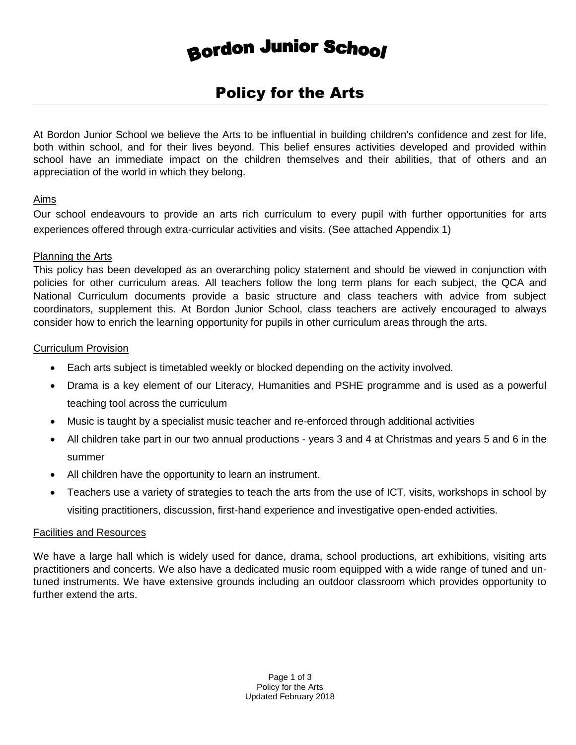# **Bordon Junior School**

# Policy for the Arts

At Bordon Junior School we believe the Arts to be influential in building children's confidence and zest for life, both within school, and for their lives beyond. This belief ensures activities developed and provided within school have an immediate impact on the children themselves and their abilities, that of others and an appreciation of the world in which they belong.

# Aims

Our school endeavours to provide an arts rich curriculum to every pupil with further opportunities for arts experiences offered through extra-curricular activities and visits. (See attached Appendix 1)

# Planning the Arts

This policy has been developed as an overarching policy statement and should be viewed in conjunction with policies for other curriculum areas. All teachers follow the long term plans for each subject, the QCA and National Curriculum documents provide a basic structure and class teachers with advice from subject coordinators, supplement this. At Bordon Junior School, class teachers are actively encouraged to always consider how to enrich the learning opportunity for pupils in other curriculum areas through the arts.

# Curriculum Provision

- Each arts subject is timetabled weekly or blocked depending on the activity involved.
- Drama is a key element of our Literacy, Humanities and PSHE programme and is used as a powerful teaching tool across the curriculum
- Music is taught by a specialist music teacher and re-enforced through additional activities
- All children take part in our two annual productions years 3 and 4 at Christmas and years 5 and 6 in the summer
- All children have the opportunity to learn an instrument.
- Teachers use a variety of strategies to teach the arts from the use of ICT, visits, workshops in school by visiting practitioners, discussion, first-hand experience and investigative open-ended activities.

# Facilities and Resources

We have a large hall which is widely used for dance, drama, school productions, art exhibitions, visiting arts practitioners and concerts. We also have a dedicated music room equipped with a wide range of tuned and untuned instruments. We have extensive grounds including an outdoor classroom which provides opportunity to further extend the arts.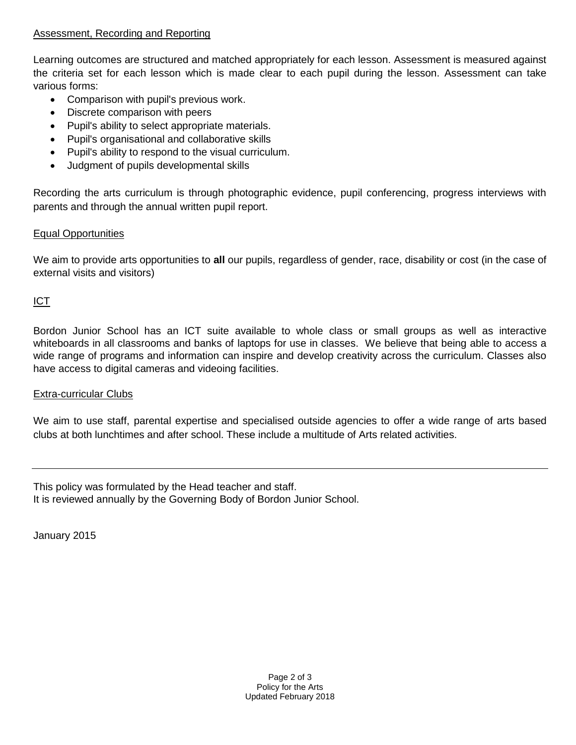# Assessment, Recording and Reporting

Learning outcomes are structured and matched appropriately for each lesson. Assessment is measured against the criteria set for each lesson which is made clear to each pupil during the lesson. Assessment can take various forms:

- Comparison with pupil's previous work.
- Discrete comparison with peers
- Pupil's ability to select appropriate materials.
- Pupil's organisational and collaborative skills
- Pupil's ability to respond to the visual curriculum.
- Judgment of pupils developmental skills

Recording the arts curriculum is through photographic evidence, pupil conferencing, progress interviews with parents and through the annual written pupil report.

# Equal Opportunities

We aim to provide arts opportunities to **all** our pupils, regardless of gender, race, disability or cost (in the case of external visits and visitors)

ICT

Bordon Junior School has an ICT suite available to whole class or small groups as well as interactive whiteboards in all classrooms and banks of laptops for use in classes. We believe that being able to access a wide range of programs and information can inspire and develop creativity across the curriculum. Classes also have access to digital cameras and videoing facilities.

# Extra-curricular Clubs

We aim to use staff, parental expertise and specialised outside agencies to offer a wide range of arts based clubs at both lunchtimes and after school. These include a multitude of Arts related activities.

This policy was formulated by the Head teacher and staff. It is reviewed annually by the Governing Body of Bordon Junior School.

January 2015